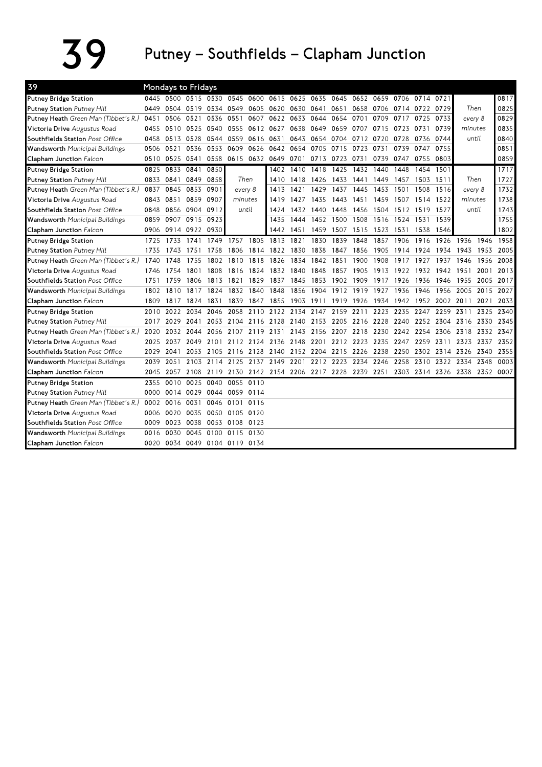## $39$  Putney – Southfields – Clapham Junction

| 39                                    |      | <b>Mondays to Fridays</b> |           |                               |      |                                                                            |      |                |           |                |                |           |      |                |      |                                                                       |           |      |
|---------------------------------------|------|---------------------------|-----------|-------------------------------|------|----------------------------------------------------------------------------|------|----------------|-----------|----------------|----------------|-----------|------|----------------|------|-----------------------------------------------------------------------|-----------|------|
| <b>Putney Bridge Station</b>          |      |                           |           |                               |      | 0445 0500 0515 0530 0545 0600 0615 0625 0635 0645 0652 0659 0706 0714 0721 |      |                |           |                |                |           |      |                |      |                                                                       |           | 0817 |
| <b>Putney Station Putney Hill</b>     |      |                           |           |                               |      | 0449 0504 0519 0534 0549 0605 0620 0630 0641                               |      |                |           | 0651           |                | 0658 0706 |      | 0714 0722 0729 |      | Then                                                                  |           | 0825 |
| Putney Heath Green Man (Tibbet's R.)  | 0451 | 0506                      | 0521      | 0536                          | 0551 | 0607                                                                       |      | 0622 0633 0644 |           | 0654           | 0701           | 0709      | 0717 | 0725           | 0733 | every 8                                                               |           | 0829 |
| Victoria Drive Augustus Road          | 0455 | 0510 0525                 |           | 0540                          |      | 0555 0612 0627                                                             |      | 0638 0649      |           |                | 0659 0707      | 0715      | 0723 | 0731           | 0739 | minutes                                                               |           | 0835 |
| Southfields Station Post Office       |      | 0458 0513 0528            |           | 0544                          | 0559 | 0616 0631                                                                  |      | 0643 0654      |           |                | 0704 0712 0720 |           | 0728 | 0736 0744      |      | until                                                                 |           | 0840 |
| Wandsworth Municipal Buildings        | 0506 | 0521                      | 0536      | 0553                          | 0609 | 0626                                                                       | 0642 | 0654 0705      |           | 0715           | 0723           | 0731      | 0739 | 0747           | 0755 |                                                                       |           | 0851 |
| Clapham Junction Falcon               |      | 0510 0525 0541            |           | 0558                          |      | 0615 0632 0649 0701 0713                                                   |      |                |           | 0723 0731      |                | 0739      | 0747 | 0755           | 0803 |                                                                       |           | 0859 |
| Putney Bridge Station                 | 0825 | 0833                      | 0841      | 0850                          |      |                                                                            | 1402 | 1410           | 1418      | 1425           | 1432           | 1440      | 1448 | 1454           | 1501 |                                                                       |           | 1717 |
| Putney Station Putney Hill            | 0833 | 0841                      | 0849      | 0858                          |      | Then                                                                       | 1410 | 1418           | 1426      | 1433           | 1441           | 1449      | 1457 | 1503           | 1511 | Then                                                                  |           | 1727 |
| Putney Heath Green Man (Tibbet's R.)  | 0837 | 0845                      | 0853      | 0901                          |      | every 8                                                                    | 1413 | 1421           | 1429      | 1437           | 1445           | 1453      | 1501 | 1508           | 1516 | every 8                                                               |           | 1732 |
| Victoria Drive Augustus Road          | 0843 | 0851                      | 0859      | 0907                          |      | minutes                                                                    | 1419 | 1427           | 1435      | 1443           | 1451           | 1459      | 1507 | 1514           | 1522 | minutes                                                               |           | 1738 |
| Southfields Station Post Office       | 0848 |                           | 0856 0904 | 0912                          |      | until                                                                      | 1424 | 1432           | 1440      | 1448           | 1456           | 1504      | 1512 | 1519           | 1527 | until                                                                 |           | 1743 |
| Wandsworth Municipal Buildings        | 0859 | 0907                      | 0915      | 0923                          |      |                                                                            | 1435 | 1444           | 1452      | 1500           | 1508           | 1516      | 1524 | 1531           | 1539 |                                                                       |           | 1755 |
| Clapham Junction Falcon               |      | 0906 0914 0922 0930       |           |                               |      |                                                                            | 1442 | 1451           | 1459      | 1507           | 1515           | 1523      | 1531 | 1538           | 1546 |                                                                       |           | 1802 |
| <b>Putney Bridge Station</b>          | 1725 | 1733                      | 1741      | 1749                          | 1757 | 1805                                                                       | 1813 | 1821           | 1830      | 1839           | 1848           | 1857      | 1906 | 1916           | 1926 | 1936                                                                  | 1946      | 1958 |
| Putney Station Putney Hill            | 1735 | 1743                      | 1751      | 1758                          | 1806 | 1814                                                                       | 1822 | 1830           | 1838      | 1847           | 1856           | 1905      | 1914 | 1924           | 1934 | 1943                                                                  | 1953      | 2005 |
| Putney Heath Green Man (Tibbet's R.)  | 1740 | 1748                      | 1755      | 1802                          | 1810 | 1818                                                                       | 1826 | 1834           | 1842      | 1851           | 1900           | 1908      | 1917 | 1927           | 1937 | 1946                                                                  | 1956      | 2008 |
| Victoria Drive Augustus Road          | 1746 | 1754                      | 1801      | 1808                          | 1816 | 1824                                                                       | 1832 | 1840           | 1848      | 1857           | 1905           | 1913      | 1922 | 1932           | 1942 | 1951                                                                  | 2001      | 2013 |
| Southfields Station Post Office       | 1751 | 1759                      | 1806      | 1813                          | 1821 | 1829                                                                       | 1837 | 1845           | 1853      |                | 1902 1909      | 1917      | 1926 | 1936           | 1946 | 1955                                                                  | 2005 2017 |      |
| <b>Wandsworth</b> Municipal Buildings | 1802 | 1810                      | 1817      | 1824                          |      | 1832 1840                                                                  | 1848 |                | 1856 1904 |                | 1912 1919      | 1927      | 1936 | 1946           | 1956 | 2005                                                                  | 2015 2027 |      |
| Clapham Junction Falcon               | 1809 | 1817                      | 1824      | 1831                          | 1839 | 1847                                                                       | 1855 | 1903 1911      |           |                | 1919 1926      | 1934      |      | 1942 1952      | 2002 | 2011                                                                  | 2021      | 2033 |
| Putney Bridge Station                 | 2010 | 2022                      | 2034      | 2046                          | 2058 | 2110                                                                       | 2122 | 2134 2147      |           | 2159 2211      |                | 2223      | 2235 | 2247           | 2259 | 2311                                                                  | 2325      | 2340 |
| Putney Station Putney Hill            | 2017 | 2029                      | 2041      | 2053                          |      | 2104 2116 2128                                                             |      | 2140 2153      |           | 2205 2216 2228 |                |           | 2240 | 2252 2304      |      | 2316 2330                                                             |           | 2345 |
| Putney Heath Green Man (Tibbet's R.)  | 2020 | 2032                      | 2044      | 2056                          | 2107 | 2119                                                                       | 2131 |                | 2143 2156 | 2207           | 2218           | 2230      | 2242 | 2254           | 2306 | 2318                                                                  | 2332      | 2347 |
| Victoria Drive Augustus Road          | 2025 | 2037                      | 2049      | 2101                          |      | 2112 2124                                                                  | 2136 |                | 2148 2201 |                | 2212 2223 2235 |           | 2247 | 2259           | 2311 | 2323                                                                  | 2337      | 2352 |
| Southfields Station Post Office       | 2029 | 2041                      | 2053      | 2105                          |      | 2116 2128                                                                  | 2140 | 2152 2204      |           |                | 2215 2226 2238 |           | 2250 | 2302           | 2314 | 2326                                                                  | 2340      | 2355 |
| <b>Wandsworth</b> Municipal Buildings | 2039 | 2051                      | 2103      | 2114                          | 2125 | 2137                                                                       | 2149 | 2201           | 2212      | 2223           | 2234           | 2246      | 2258 | 2310           | 2322 | 2334                                                                  | 2348      | 0003 |
| Clapham Junction Falcon               | 2045 | 2057                      |           | 2108 2119                     |      |                                                                            |      |                |           |                |                |           |      |                |      | 2130 2142 2154 2206 2217 2228 2239 2251 2303 2314 2326 2338 2352 0007 |           |      |
| Putney Bridge Station                 | 2355 | 0010                      | 0025      | 0040                          | 0055 | 0110                                                                       |      |                |           |                |                |           |      |                |      |                                                                       |           |      |
| <b>Putney Station Putney Hill</b>     | 0000 |                           | 0014 0029 | 0044                          |      | 0059 0114                                                                  |      |                |           |                |                |           |      |                |      |                                                                       |           |      |
| Putney Heath Green Man (Tibbet's R.)  | 0002 | 0016                      | 0031      | 0046                          | 0101 | 0116                                                                       |      |                |           |                |                |           |      |                |      |                                                                       |           |      |
| Victoria Drive Augustus Road          | 0006 | 0020                      | 0035      | 0050                          |      | 0105 0120                                                                  |      |                |           |                |                |           |      |                |      |                                                                       |           |      |
| Southfields Station Post Office       | 0009 | 0023                      | 0038      | 0053                          | 0108 | 0123                                                                       |      |                |           |                |                |           |      |                |      |                                                                       |           |      |
| <b>Wandsworth</b> Municipal Buildings | 0016 | 0030                      | 0045      | 0100                          |      | 0115 0130                                                                  |      |                |           |                |                |           |      |                |      |                                                                       |           |      |
| Clapham Junction Falcon               |      |                           |           | 0020 0034 0049 0104 0119 0134 |      |                                                                            |      |                |           |                |                |           |      |                |      |                                                                       |           |      |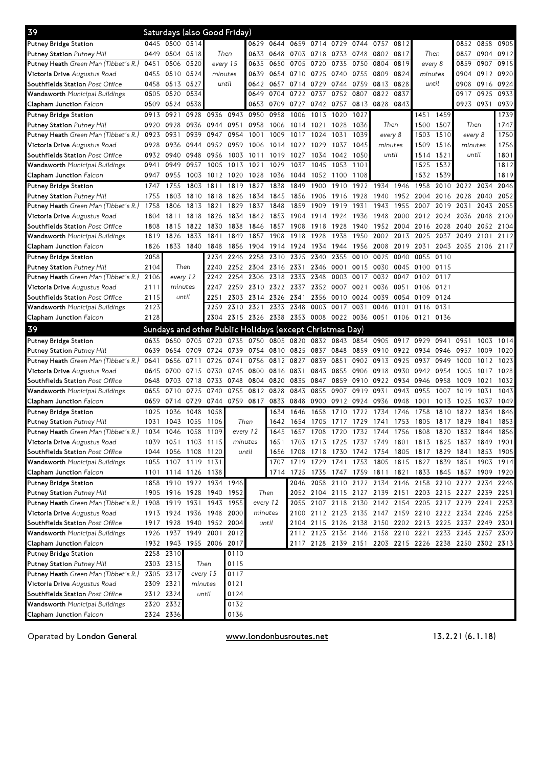| 39                                                              | Saturdays (also Good Friday) |                        |                     |                                                          |              |                     |           |                     |                     |      |           |                                                             |           |                |      |                                                             |           |                      |
|-----------------------------------------------------------------|------------------------------|------------------------|---------------------|----------------------------------------------------------|--------------|---------------------|-----------|---------------------|---------------------|------|-----------|-------------------------------------------------------------|-----------|----------------|------|-------------------------------------------------------------|-----------|----------------------|
| <b>Putney Bridge Station</b>                                    |                              | 0445 0500              | 0514                |                                                          |              |                     | 0629 0644 |                     | 0659 0714 0729 0744 |      |           | 0757                                                        | 0812      |                |      | 0852                                                        | 0858      | 0905                 |
| Putney Station Putney Hill                                      |                              | 0449 0504 0518         |                     | Then                                                     |              | 0633 0648           |           | 0703 0718 0733 0748 |                     |      |           | 0802 0817                                                   |           | Then           |      | 0857                                                        | 0904 0912 |                      |
| Putney Heath Green Man (Tibbet's R.)                            | 0451                         | 0506                   | 0520                | every 15                                                 |              | 0635                | 0650      | 0705                | 0720                | 0735 | 0750      | 0804                                                        | 0819      | every 8        |      | 0859                                                        | 0907      | 0915                 |
| Victoria Drive Augustus Road                                    | 0455                         | 0510                   | 0524                | minutes                                                  |              | 0639                | 0654      | 0710 0725           |                     | 0740 | 0755      | 0809                                                        | 0824      | minutes        |      | 0904                                                        | 0912      | 0920                 |
| Southfields Station Post Office                                 | 0458                         | 0513                   | 0527                | until                                                    |              | 0642                | 0657      | 0714 0729           |                     | 0744 | 0759      | 0813 0828                                                   |           | until          |      | 0908                                                        | 0916 0924 |                      |
| Wandsworth Municipal Buildings                                  | 0505                         | 0520                   | 0534                |                                                          |              | 0649                | 0704      | 0722                | 0737                | 0752 | 0807      | 0822                                                        | 0837      |                |      | 0917                                                        | 0925      | 0933                 |
| Clapham Junction Falcon                                         | 0509                         | 0524                   | 0538                |                                                          |              | 0653                | 0709      | 0727                | 0742 0757           |      | 0813      | 0828 0843                                                   |           |                |      | 0923                                                        | 0931      | 0939                 |
| Putney Bridge Station                                           | 0913                         | 0921                   | 0928                | 0936                                                     | 0943         | 0950                | 0958      | 1006                | 1013                | 1020 | 1027      |                                                             |           | 1451           | 1459 |                                                             |           | 1739                 |
| Putney Station Putney Hill                                      | 0920                         | 0928                   |                     | 0936 0944                                                | 0951         | 0958                | 1006      | 1014                | 1021                | 1028 | 1036      | Then                                                        |           | 1500           | 1507 | Then                                                        |           | 1747                 |
| Putney Heath Green Man (Tibbet's R.)                            | 0923                         | 0931                   | 0939                | 0947                                                     | 0954         | 1001                | 1009      | 1017                | 1024                | 1031 | 1039      | every 8                                                     |           | 1503           | 1510 | every 8                                                     |           | 1750                 |
| Victoria Drive Augustus Road                                    | 0928                         | 0936                   | 0944                | 0952                                                     | 0959         | 1006                | 1014      | 1022                | 1029                | 1037 | 1045      | minutes                                                     |           | 1509           | 1516 | minutes                                                     |           | 1756                 |
| Southfields Station Post Office                                 |                              | 0932 0940              | 0948                | 0956                                                     | 1003         | 1011                | 1019      | 1027                | 1034                | 1042 | 1050      | until                                                       |           | 1514           | 1521 | until                                                       |           | 1801                 |
| Wandsworth Municipal Buildings                                  | 0941                         | 0949                   | 0957                | 1005                                                     | 1013         | 1021                | 1029      | 1037                | 1045                | 1053 | 1101      |                                                             |           | 1525           | 1532 |                                                             |           | 1812                 |
| Clapham Junction Falcon                                         | 0947                         | 0955                   | 1003                | 1012                                                     | 1020         | 1028 1036           |           | 1044 1052           |                     | 1100 | 1108      |                                                             |           | 1532           | 1539 |                                                             |           | 1819                 |
| Putney Bridge Station                                           | 1747                         | 1755                   | 1803                | 1811                                                     | 1819         | 1827                | 1838      | 1849                | 1900                | 1910 | 1922      | 1934                                                        | 1946      | 1958           | 2010 | 2022                                                        | 2034      | 2046                 |
| Putney Station Putney Hill                                      | 1755                         | 1803                   | 1810                | 1818                                                     | 1826         | 1834                | 1845      | 1856                | 1906                | 1916 | 1928      | 1940                                                        | 1952 2004 |                | 2016 | 2028                                                        | 2040      | 2052                 |
| Putney Heath Green Man (Tibbet's R.)                            | 1758                         | 1806                   | 1813                | 1821                                                     | 1829         | 1837                | 1848      | 1859                | 1909                | 1919 | 1931      | 1943                                                        | 1955      | 2007           | 2019 | 2031                                                        | 2043      | 2055                 |
| Victoria Drive Augustus Road                                    | 1804                         | 1811                   | 1818                | 1826                                                     | 1834         | 1842                | 1853      | 1904 1914           |                     | 1924 | 1936      | 1948                                                        | 2000      | 2012           | 2024 | 2036                                                        | 2048      | 2100                 |
| Southfields Station Post Office                                 | 1808                         | 1815                   | 1822                | 1830                                                     | 1838         | 1846                | 1857      | 1908                | 1918                | 1928 | 1940      | 1952 2004                                                   |           | 2016 2028 2040 |      |                                                             | 2052 2104 |                      |
| Wandsworth Municipal Buildings                                  | 1819                         | 1826                   | 1833                | 1841                                                     | 1849         | 1857                | 1908      | 1918                | 1928                | 1938 | 1950      | 2002                                                        | 2013      | 2025           | 2037 | 2049                                                        | 2101      | 2112                 |
| Clapham Junction Falcon                                         | 1826                         |                        | 1833 1840           | 1848                                                     | 1856         | 1904 1914 1924 1934 |           |                     |                     | 1944 |           | 1956 2008 2019 2031                                         |           |                | 2043 | 2055                                                        | 2106 2117 |                      |
| Putney Bridge Station                                           | 2058                         |                        |                     | 2234                                                     | 2246         | 2258                | 2310      | 2325                | 2340                | 2355 | 0010      | 0025                                                        | 0040      | 0055           | 0110 |                                                             |           |                      |
| Putney Station Putney Hill                                      | 2104                         |                        | Then                | 2240                                                     |              | 2252 2304 2316      |           | 2331 2346           |                     | 0001 | 0015      | 0030                                                        | 0045      | 0100           | 0115 |                                                             |           |                      |
| Putney Heath Green Man (Tibbet's R.)                            | 2106                         | every 12               |                     | 2242                                                     | 2254         | 2306                | 2318      | 2333                | 2348                | 0003 | 0017      | 0032                                                        | 0047      | 0102           | 0117 |                                                             |           |                      |
| Victoria Drive Augustus Road                                    | 2111                         | minutes                |                     | 2247                                                     | 2259         | 2310                | 2322      |                     | 2337 2352           | 0007 | 0021      | 0036                                                        | 0051      | 0106           | 0121 |                                                             |           |                      |
| Southfields Station Post Office                                 | 2115                         |                        | until               | 2251                                                     |              | 2303 2314           | 2326      | 2341                | 2356                |      | 0010 0024 | 0039                                                        | 0054      | 0109           | 0124 |                                                             |           |                      |
| Wandsworth Municipal Buildings                                  | 2123                         |                        |                     | 2259                                                     | 2310         | 2321                | 2333      | 2348                | 0003                | 0017 | 0031      | 0046                                                        | 0101      | 0116           | 0131 |                                                             |           |                      |
| Clapham Junction Falcon                                         | 2128                         |                        |                     |                                                          |              |                     |           |                     |                     |      |           | 2304 2315 2326 2338 2353 0008 0022 0036 0051 0106 0121 0136 |           |                |      |                                                             |           |                      |
|                                                                 |                              |                        |                     |                                                          |              |                     |           |                     |                     |      |           |                                                             |           |                |      |                                                             |           |                      |
|                                                                 |                              |                        |                     |                                                          |              |                     |           |                     |                     |      |           |                                                             |           |                |      |                                                             |           |                      |
| 39                                                              |                              |                        |                     | Sundays and other Public Holidays (except Christmas Day) |              |                     |           |                     |                     |      |           |                                                             |           |                |      |                                                             |           |                      |
| Putney Bridge Station                                           | 0635                         | 0650                   | 0705 0720           |                                                          |              | 0735 0750 0805      |           | 0820                |                     |      |           | 0832 0843 0854 0905 0917 0929                               |           |                | 0941 | 0951                                                        | 1003      |                      |
| <b>Putney Station Putney Hill</b>                               | 0639                         | 0654                   |                     | 0709 0724                                                | 0739         | 0754 0810           |           | 0825                | 0837                | 0848 | 0859      | 0910 0922                                                   |           | 0934           | 0946 | 0957                                                        | 1009      | 1014<br>1020         |
| Putney Heath Green Man (Tibbet's R.)                            | 0641                         | 0656                   | 0711                | 0726                                                     | 0741         | 0756                | 0812      | 0827                | 0839                | 0851 | 0902      | 0913                                                        | 0925      | 0937           | 0949 | 1000                                                        | 1012      | 1023                 |
| Victoria Drive Augustus Road                                    | 0645                         | 0700                   | 0715 0730           |                                                          | 0745         | 0800                | 0816      | 0831                | 0843                | 0855 | 0906      | 0918                                                        | 0930      | 0942           | 0954 | 1005                                                        | 1017      | 1028                 |
| Southfields Station Post Office                                 | 0648                         | 0703                   | 0718                | 0733                                                     | 0748         | 0804                | 0820      | 0835                | 0847                | 0859 | 0910      | 0922                                                        | 0934      | 0946           | 0958 | 1009                                                        | 1021      |                      |
| Wandsworth Municipal Buildings                                  | 0655                         | 0710                   | 0725                | 0740                                                     | 0755         | 0812                | 0828      | 0843                | 0855                | 0907 | 0919      | 0931                                                        | 0943      | 0955           | 1007 | 1019                                                        | 1031      | 1032<br>1043         |
| Clapham Junction Falcon                                         | 0659                         | 0714                   |                     | 0729 0744 0759 0817 0833                                 |              |                     |           | 0848                | 0900                |      | 0912 0924 | 0936 0948                                                   |           | 1001           | 1013 | 1025                                                        | 1037      |                      |
| <b>Putney Bridge Station</b>                                    | 1025                         | 1036                   | 1048                | 1058                                                     |              |                     | 1634      | 1646                | 1658                | 1710 | 1722      | 1734                                                        | 1746      | 1758           | 1810 | 1822                                                        | 1834      |                      |
| Putney Station Putney Hill                                      | 1031                         | 1043                   | 1055                | 1106                                                     | Then         |                     | 1642      | 1654                | 1705                | 1717 | 1729      | 1741                                                        | 1753      | 1805           | 1817 | 1829                                                        | 1841      | 1853                 |
| Putney Heath Green Man (Tibbet's R.)                            | 1034                         | 1046                   | 1058                | 1109                                                     | every 12     |                     | 1645      | 1657                | 1708                | 1720 | 1732      | 1744                                                        | 1756      | 1808           | 1820 | 1832                                                        | 1844      | 1049<br>1846<br>1856 |
| Victoria Drive Augustus Road                                    |                              |                        | 1039 1051 1103 1115 |                                                          | minutes      |                     |           |                     |                     |      |           |                                                             |           |                |      | 1651 1703 1713 1725 1737 1749 1801 1813 1825 1837 1849 1901 |           |                      |
| Southfields Station Post Office                                 | 1044                         |                        | 1056 1108 1120      |                                                          |              | until               |           | 1656 1708 1718      |                     | 1730 |           | 1742 1754 1805 1817 1829 1841                               |           |                |      |                                                             | 1853      | 1905                 |
| Wandsworth Municipal Buildings                                  |                              |                        | 1055 1107 1119 1131 |                                                          |              |                     |           |                     |                     |      |           |                                                             |           |                |      | 1707 1719 1729 1741 1753 1805 1815 1827 1839 1851 1903 1914 |           |                      |
| Clapham Junction Falcon                                         |                              |                        | 1101 1114 1126 1138 |                                                          |              |                     | 1714      |                     |                     |      |           |                                                             |           |                |      | 1725 1735 1747 1759 1811 1821 1833 1845 1857 1909 1920      |           |                      |
| <b>Putney Bridge Station</b>                                    |                              |                        |                     | 1858 1910 1922 1934 1946                                 |              |                     |           |                     |                     |      |           |                                                             |           |                |      | 2046 2058 2110 2122 2134 2146 2158 2210 2222 2234 2246      |           |                      |
| Putney Station Putney Hill                                      |                              |                        | 1905 1916 1928 1940 |                                                          | 1952         | Then                |           |                     |                     |      |           |                                                             |           |                |      | 2052 2104 2115 2127 2139 2151 2203 2215 2227 2239 2251      |           |                      |
| Putney Heath Green Man (Tibbet's R.) 1908 1919 1931 1943 1955   |                              |                        |                     |                                                          |              | every 12            |           |                     |                     |      |           |                                                             |           |                |      | 2055 2107 2118 2130 2142 2154 2205 2217 2229 2241 2253      |           |                      |
|                                                                 |                              |                        | 1913 1924 1936 1948 |                                                          | 2000         | minutes             |           |                     |                     |      |           |                                                             |           |                |      | 2100 2112 2123 2135 2147 2159 2210 2222 2234 2246 2258      |           |                      |
| Victoria Drive Augustus Road<br>Southfields Station Post Office |                              |                        |                     | 1917 1928 1940 1952 2004                                 |              | until               |           |                     |                     |      |           |                                                             |           |                |      | 2104 2115 2126 2138 2150 2202 2213 2225 2237 2249 2301      |           |                      |
| Wandsworth Municipal Buildings                                  |                              |                        | 1926 1937 1949 2001 |                                                          | 2012         |                     |           |                     |                     |      |           | 2112 2123 2134 2146 2158 2210 2221                          |           |                |      | 2233 2245 2257 2309                                         |           |                      |
| Clapham Junction Falcon                                         |                              |                        | 1932 1943 1955 2006 |                                                          | 2017         |                     |           |                     |                     |      |           |                                                             |           |                |      | 2117 2128 2139 2151 2203 2215 2226 2238 2250 2302 2313      |           |                      |
| <b>Putney Bridge Station</b>                                    |                              | 2258 2310              |                     |                                                          | 0110         |                     |           |                     |                     |      |           |                                                             |           |                |      |                                                             |           |                      |
| <b>Putney Station Putney Hill</b>                               |                              | 2303 2315              | Then                |                                                          | 0115         |                     |           |                     |                     |      |           |                                                             |           |                |      |                                                             |           |                      |
|                                                                 |                              | 2305 2317              |                     | every 15                                                 | 0117         |                     |           |                     |                     |      |           |                                                             |           |                |      |                                                             |           |                      |
| Putney Heath Green Man (Tibbet's R.)                            |                              | 2309 2321              | minutes             |                                                          | 0121         |                     |           |                     |                     |      |           |                                                             |           |                |      |                                                             |           |                      |
| Victoria Drive Augustus Road                                    |                              |                        |                     | until                                                    |              |                     |           |                     |                     |      |           |                                                             |           |                |      |                                                             |           |                      |
| Southfields Station Post Office                                 |                              | 2312 2324              |                     |                                                          | 0124         |                     |           |                     |                     |      |           |                                                             |           |                |      |                                                             |           |                      |
| Wandsworth Municipal Buildings<br>Clapham Junction Falcon       |                              | 2320 2332<br>2324 2336 |                     |                                                          | 0132<br>0136 |                     |           |                     |                     |      |           |                                                             |           |                |      |                                                             |           |                      |

Operated by London General

www.londonbusroutes.net

(6.1.18)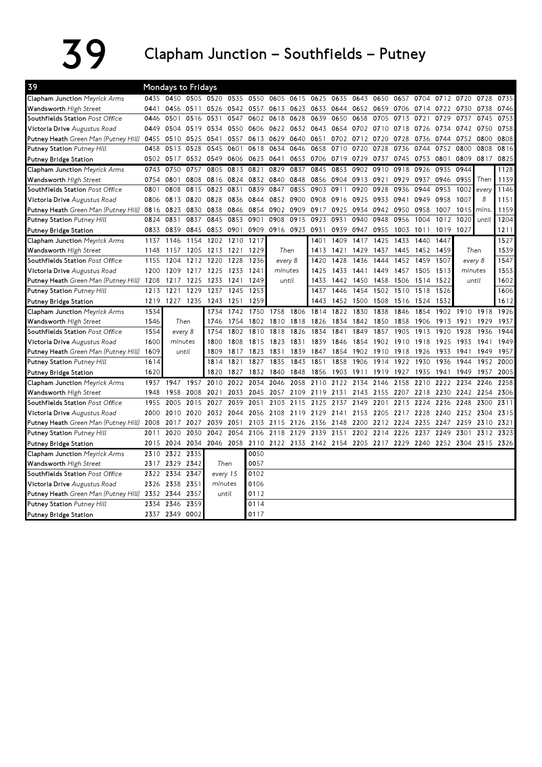## $39$  Clapham Junction – Southfields – Putney

| 39                                   |      | Mondays to Fridays |           |                |           |                                         |         |                |           |      |                |           |      |           |           |                     |       |      |
|--------------------------------------|------|--------------------|-----------|----------------|-----------|-----------------------------------------|---------|----------------|-----------|------|----------------|-----------|------|-----------|-----------|---------------------|-------|------|
| Clapham Junction Meyrick Arms        | 0435 |                    |           | 0450 0505 0520 |           | 0535 0550                               | 0605    |                | 0615 0625 | 0635 | 0643           | 0650      | 0657 | 0704      | 0712 0720 |                     | 0728  | 0735 |
| Wandsworth High Street               | 0441 |                    | 0456 0511 | 0526           |           | 0542 0557                               |         | 0613 0623 0633 |           | 0644 | 0652 0659      |           | 0706 | 0714 0722 |           | 0730                | 0738  | 0746 |
| Southfields Station Post Office      | 0446 | 0501               | 0516      | 0531           | 0547      | 0602                                    | 0618    | 0628           | 0639      | 0650 | 0658           | 0705      | 0713 | 0721      | 0729      | 0737                | 0745  | 0753 |
| Victoria Drive Augustus Road         | 0449 | 0504               | 0519      | 0534           | 0550      | 0606                                    | 0622    |                | 0632 0643 |      | 0654 0702 0710 |           | 0718 | 0726      | 0734      | 0742                | 0750  | 0758 |
| Putney Heath Green Man (Putney Hill) | 0455 | 0510               | 0525      | 0541           | 0557      | 0613                                    | 0629    | 0640 0651      |           |      | 0702 0712      | 0720      | 0728 | 0736      | 0744      | 0752                | 0800  | 0808 |
| Putney Station Putney Hill           | 0458 | 0513               | 0528      | 0545           | 0601      | 0618                                    | 0634    | 0646           | 0658      | 0710 | 0720           | 0728      | 0736 | 0744      | 0752      | 0800                | 0808  | 0816 |
| Putney Bridge Station                |      | 0502 0517          | 0532      | 0549           | 0606      | 0623                                    | 0641    | 0653           | 0706      | 0719 | 0729           | 0737      | 0745 | 0753      | 0801      | 0809                | 0817  | 0825 |
| Clapham Junction Meyrick Arms        | 0743 | 0750               | 0757      | 0805           | 0813      | 0821                                    | 0829    | 0837           | 0845      | 0853 | 0902           | 0910      | 0918 | 0926      | 0935      | 0944                |       | 1128 |
| Wandsworth High Street               | 0754 | 0801               | 0808      | 0816           | 0824      | 0832                                    | 0840    | 0848           | 0856      | 0904 | 0913           | 0921      | 0929 | 0937      | 0946      | 0955                | Then  | 1139 |
| Southfields Station Post Office      | 0801 | 0808               | 0815      | 0823           | 0831      | 0839                                    | 0847    | 0855           | 0903      | 0911 | 0920           | 0928      | 0936 | 0944      | 0953      | 1002                | every | 1146 |
| Victoria Drive Augustus Road         | 0806 | 0813               | 0820      | 0828           | 0836      | 0844                                    | 0852    | 0900           | 0908      | 0916 | 0925           | 0933      | 0941 | 0949      | 0958      | 1007                | 8     | 1151 |
| Putney Heath Green Man (Putney Hill) | 0816 | 0823               | 0830      | 0838           | 0846      | 0854                                    | 0902    | 0909           | 0917      | 0925 | 0934           | 0942      | 0950 | 0958      | 1007      | 1015                | mins. | 1159 |
| Putney Station Putney Hill           | 0824 | 0831               | 0837      | 0845           | 0853      | 0901                                    | 0908    | 0915           | 0923      | 0931 | 0940           | 0948      | 0956 | 1004      | 1012      | 1020                | until | 1204 |
| Putney Bridge Station                | 0833 | 0839               | 0845      | 0853           | 0901      | 0909                                    |         | 0916 0923 0931 |           | 0939 | 0947           | 0955      | 1003 | 1011      | 1019      | 1027                |       | 1211 |
| Clapham Junction Meyrick Arms        | 1137 | 1146               | 1154      | 1202           | 1210      | 1217                                    |         |                | 1401      | 1409 | 1417           | 1425      | 1433 | 1440      | 1447      |                     |       | 1527 |
| Wandsworth High Street               | 1148 | 1157               | 1205      | 1213           | 1221      | 1229                                    | Then    |                | 1413      | 1421 | 1429           | 1437      | 1445 | 1452      | 1459      | Then                |       | 1539 |
| Southfields Station Post Office      | 1155 | 1204               | 1212      | 1220           | 1228      | 1236                                    | every 8 |                | 1420      | 1428 | 1436           | 1444      | 1452 | 1459      | 1507      | every 8             |       | 1547 |
| Victoria Drive Augustus Road         | 1200 | 1209               |           | 1217 1225      | 1233      | 1241                                    | minutes |                | 1425      | 1433 | 1441           | 1449      | 1457 | 1505      | 1513      | minutes             |       | 1553 |
| Putney Heath Green Man (Putney Hill) | 1208 | 1217               | 1225      | 1233           | 1241      | 1249                                    |         | until          | 1433      | 1442 | 1450           | 1458      | 1506 | 1514      | 1522      |                     | until | 1602 |
| Putney Station Putney Hill           | 1213 | 1221               | 1229      | 1237           | 1245      | 1253                                    |         |                | 1437      | 1446 | 1454           | 1502      | 1510 | 1518      | 1526      |                     |       | 1606 |
| Putney Bridge Station                | 1219 | 1227 1235          |           | 1243           | 1251      | 1259                                    |         |                | 1443      | 1452 | 1500           | 1508      | 1516 | 1524      | 1532      |                     |       | 1612 |
| Clapham Junction Meyrick Arms        | 1534 |                    |           | 1734           | 1742      | 1750                                    | 1758    | 1806           | 1814      | 1822 | 1830           | 1838      | 1846 | 1854      | 1902      | 1910                | 1918  | 1926 |
| Wandsworth High Street               | 1546 | Then               |           | 1746           | 1754      | 1802                                    | 1810    | 1818           | 1826      | 1834 | 1842           | 1850      | 1858 | 1906      | 1913      | 1921                | 1929  | 1937 |
| Southfields Station Post Office      | 1554 | every 8            |           | 1754           | 1802      | 1810                                    | 1818    | 1826           | 1834      | 1841 | 1849           | 1857      | 1905 | 1913      | 1920      | 1928                | 1936  | 1944 |
| Victoria Drive Augustus Road         | 1600 | minutes            |           | 1800           | 1808      | 1815                                    | 1823    | 1831           | 1839      | 1846 | 1854           | 1902      | 1910 | 1918      | 1925      | 1933                | 1941  | 1949 |
| Putney Heath Green Man (Putney Hill) | 1609 |                    | until     | 1809           | 1817      | 1823                                    | 1831    | 1839           | 1847      | 1854 | 1902           | 1910      | 1918 | 1926      | 1933      | 1941                | 1949  | 1957 |
| Putney Station Putney Hill           | 1614 |                    |           | 1814           | 1821      | 1827                                    | 1835    | 1843           | 1851      | 1858 | 1906           | 1914      | 1922 | 1930      | 1936      | 1944                | 1952  | 2000 |
| Putney Bridge Station                | 1620 |                    |           | 1820           | 1827      | 1832                                    | 1840    | 1848           | 1856      | 1903 | 1911           | 1919      | 1927 | 1935      | 1941      | 1949                | 1957  | 2005 |
| Clapham Junction Meyrick Arms        | 1937 | 1947               | 1957      | 2010           | 2022      | 2034                                    | 2046    | 2058           | 2110      | 2122 | 2134           | 2146      | 2158 | 2210      | 2222      | 2234                | 2246  | 2258 |
| Wandsworth High Street               | 1948 | 1958               | 2008      | 2021           | 2033      | 2045                                    | 2057    | 2109           | 2119      | 2131 | 2143           | 2155      | 2207 | 2218      | 2230      | 2242                | 2254  | 2306 |
| Southfields Station Post Office      | 1955 | 2005               | 2015      | 2027           | 2039      | 2051                                    | 2103    | 2115           | 2125      | 2137 | 2149           | 2201      | 2213 | 2224      | 2236      | 2248                | 2300  | 2311 |
| <b>Victoria Drive</b> Augustus Road  | 2000 | 2010               | 2020      | 2032           | 2044      | 2056                                    | 2108    |                | 2119 2129 | 2141 |                | 2153 2205 | 2217 | 2228      | 2240      | 2252 2304           |       | 2315 |
| Putney Heath Green Man (Putney Hill) | 2008 | 2017               | 2027      | 2039           | 2051      | 2103                                    | 2115    | 2126           | 2136      | 2148 | 2200           | 2212      | 2224 | 2235      | 2247      | 2259                | 2310  | 2321 |
| Putney Station Putney Hill           | 2011 | 2020               | 2030      | 2042           | 2054      | 2106                                    | 2118    | 2129           | 2139      | 2151 | 2202           | 2214      | 2226 | 2237      | 2249      | 2301                | 2312  | 2323 |
| Putney Bridge Station                | 2015 | 2024               | 2034      |                | 2046 2058 | 2110 2122 2133 2142 2154 2205 2217 2229 |         |                |           |      |                |           |      | 2240      |           | 2252 2304 2315 2326 |       |      |
| Clapham Junction Meyrick Arms        | 2310 | 2322               | 2335      |                |           | 0050                                    |         |                |           |      |                |           |      |           |           |                     |       |      |
| Wandsworth High Street               | 2317 | 2329               | 2342      | Then           |           | 0057                                    |         |                |           |      |                |           |      |           |           |                     |       |      |
| Southfields Station Post Office      | 2322 | 2334               | 2347      |                | every 15  | 0102                                    |         |                |           |      |                |           |      |           |           |                     |       |      |
| Victoria Drive Augustus Road         | 2326 | 2338               | 2351      | minutes        |           | 0106                                    |         |                |           |      |                |           |      |           |           |                     |       |      |
| Putney Heath Green Man (Putney Hill) | 2332 | 2344               | 2357      |                | until     | 0112                                    |         |                |           |      |                |           |      |           |           |                     |       |      |
| Putney Station Putney Hill           | 2334 | 2346               | 2359      |                |           | 0114                                    |         |                |           |      |                |           |      |           |           |                     |       |      |
| Putney Bridge Station                | 2337 | 2349 0002          |           |                |           | 0117                                    |         |                |           |      |                |           |      |           |           |                     |       |      |